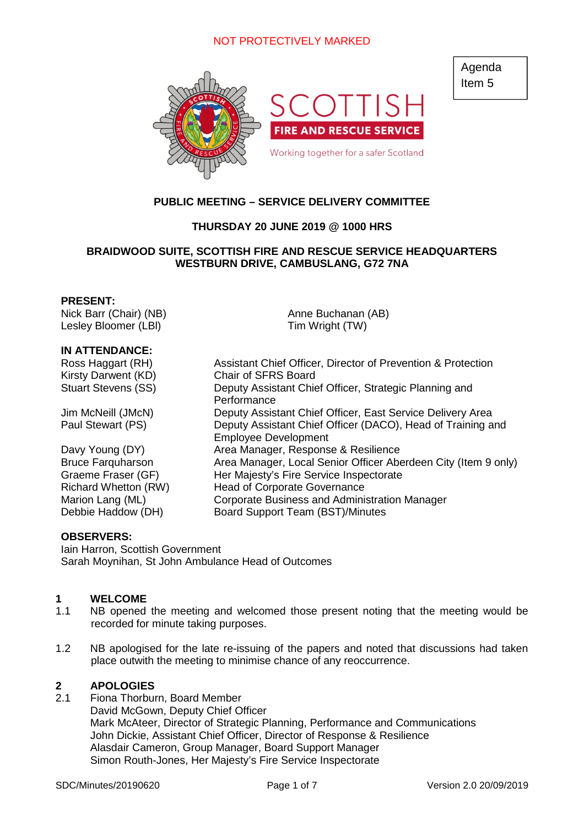

Agenda Item 5

# **PUBLIC MEETING – SERVICE DELIVERY COMMITTEE**

## **THURSDAY 20 JUNE 2019 @ 1000 HRS**

## **BRAIDWOOD SUITE, SCOTTISH FIRE AND RESCUE SERVICE HEADQUARTERS WESTBURN DRIVE, CAMBUSLANG, G72 7NA**

Anne Buchanan (AB) Tim Wright (TW)

#### **PRESENT:**

Nick Barr (Chair) (NB) Lesley Bloomer (LBl)

#### **IN ATTENDANCE:**

Ross Haggart (RH) Assistant Chief Officer, Director of Prevention & Protection Kirsty Darwent (KD) Chair of SFRS Board Stuart Stevens (SS) Deputy Assistant Chief Officer, Strategic Planning and **Performance** Jim McNeill (JMcN) Deputy Assistant Chief Officer, East Service Delivery Area Paul Stewart (PS) Deputy Assistant Chief Officer (DACO), Head of Training and Employee Development Davy Young (DY) Area Manager, Response & Resilience Bruce Farquharson Area Manager, Local Senior Officer Aberdeen City (Item 9 only) Graeme Fraser (GF) Her Majesty's Fire Service Inspectorate Richard Whetton (RW) Head of Corporate Governance

Marion Lang (ML) Corporate Business and Administration Manager

Debbie Haddow (DH) Board Support Team (BST)/Minutes

# **OBSERVERS:**

Iain Harron, Scottish Government Sarah Moynihan, St John Ambulance Head of Outcomes

#### **1 WELCOME**

- 1.1 NB opened the meeting and welcomed those present noting that the meeting would be recorded for minute taking purposes.
- 1.2 NB apologised for the late re-issuing of the papers and noted that discussions had taken place outwith the meeting to minimise chance of any reoccurrence.

## **2 APOLOGIES**

2.1 Fiona Thorburn, Board Member David McGown, Deputy Chief Officer Mark McAteer, Director of Strategic Planning, Performance and Communications John Dickie, Assistant Chief Officer, Director of Response & Resilience Alasdair Cameron, Group Manager, Board Support Manager Simon Routh-Jones, Her Majesty's Fire Service Inspectorate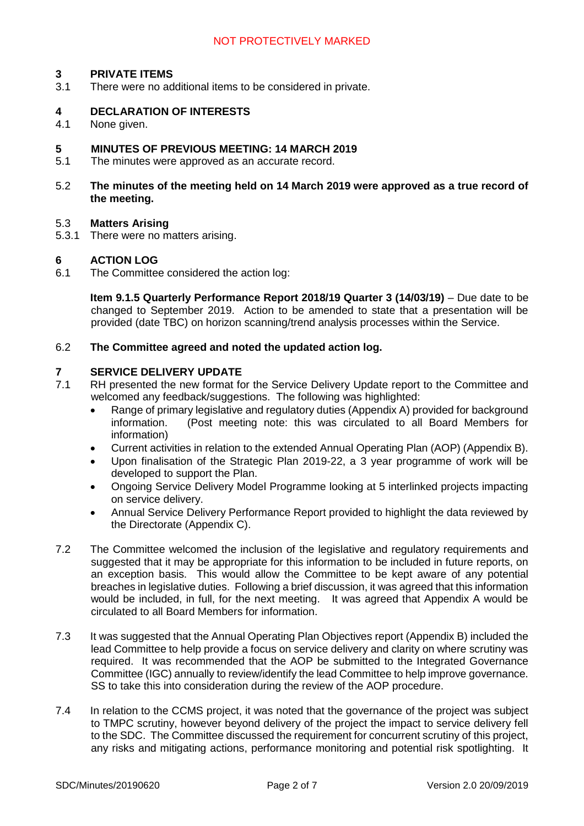### **3 PRIVATE ITEMS**

3.1 There were no additional items to be considered in private.

### **4 DECLARATION OF INTERESTS**

4.1 None given.

#### **5 MINUTES OF PREVIOUS MEETING: 14 MARCH 2019**

- 5.1 The minutes were approved as an accurate record.
- 5.2 **The minutes of the meeting held on 14 March 2019 were approved as a true record of the meeting.**

#### 5.3 **Matters Arising**

5.3.1 There were no matters arising.

#### **6 ACTION LOG**

6.1 The Committee considered the action log:

**Item 9.1.5 Quarterly Performance Report 2018/19 Quarter 3 (14/03/19)** – Due date to be changed to September 2019. Action to be amended to state that a presentation will be provided (date TBC) on horizon scanning/trend analysis processes within the Service.

#### 6.2 **The Committee agreed and noted the updated action log.**

### **7 SERVICE DELIVERY UPDATE**

- 7.1 RH presented the new format for the Service Delivery Update report to the Committee and welcomed any feedback/suggestions. The following was highlighted:
	- Range of primary legislative and regulatory duties (Appendix A) provided for background information. (Post meeting note: this was circulated to all Board Members for information)
	- Current activities in relation to the extended Annual Operating Plan (AOP) (Appendix B).
	- Upon finalisation of the Strategic Plan 2019-22, a 3 year programme of work will be developed to support the Plan.
	- Ongoing Service Delivery Model Programme looking at 5 interlinked projects impacting on service delivery.
	- Annual Service Delivery Performance Report provided to highlight the data reviewed by the Directorate (Appendix C).
- 7.2 The Committee welcomed the inclusion of the legislative and regulatory requirements and suggested that it may be appropriate for this information to be included in future reports, on an exception basis. This would allow the Committee to be kept aware of any potential breaches in legislative duties. Following a brief discussion, it was agreed that this information would be included, in full, for the next meeting. It was agreed that Appendix A would be circulated to all Board Members for information.
- 7.3 It was suggested that the Annual Operating Plan Objectives report (Appendix B) included the lead Committee to help provide a focus on service delivery and clarity on where scrutiny was required. It was recommended that the AOP be submitted to the Integrated Governance Committee (IGC) annually to review/identify the lead Committee to help improve governance. SS to take this into consideration during the review of the AOP procedure.
- 7.4 In relation to the CCMS project, it was noted that the governance of the project was subject to TMPC scrutiny, however beyond delivery of the project the impact to service delivery fell to the SDC. The Committee discussed the requirement for concurrent scrutiny of this project, any risks and mitigating actions, performance monitoring and potential risk spotlighting. It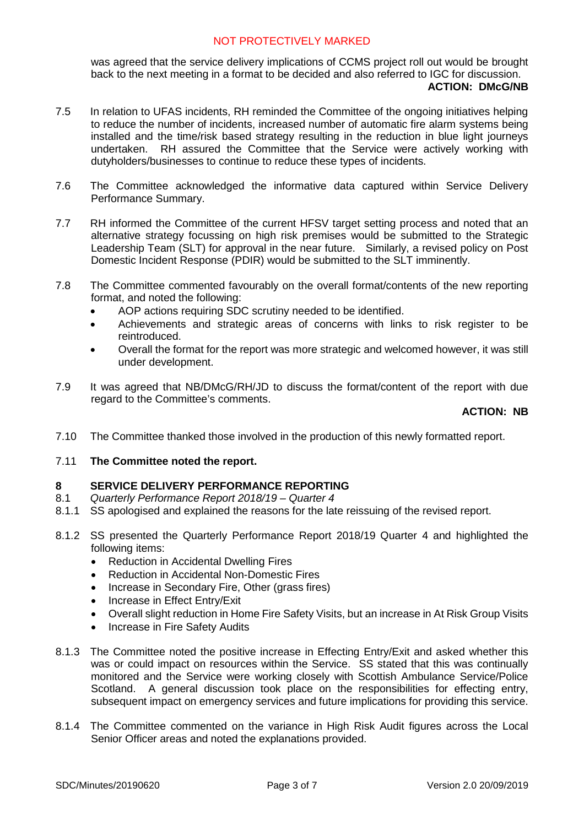was agreed that the service delivery implications of CCMS project roll out would be brought back to the next meeting in a format to be decided and also referred to IGC for discussion.

#### **ACTION: DMcG/NB**

- 7.5 In relation to UFAS incidents, RH reminded the Committee of the ongoing initiatives helping to reduce the number of incidents, increased number of automatic fire alarm systems being installed and the time/risk based strategy resulting in the reduction in blue light journeys undertaken. RH assured the Committee that the Service were actively working with dutyholders/businesses to continue to reduce these types of incidents.
- 7.6 The Committee acknowledged the informative data captured within Service Delivery Performance Summary.
- 7.7 RH informed the Committee of the current HFSV target setting process and noted that an alternative strategy focussing on high risk premises would be submitted to the Strategic Leadership Team (SLT) for approval in the near future. Similarly, a revised policy on Post Domestic Incident Response (PDIR) would be submitted to the SLT imminently.
- 7.8 The Committee commented favourably on the overall format/contents of the new reporting format, and noted the following:
	- AOP actions requiring SDC scrutiny needed to be identified.
	- Achievements and strategic areas of concerns with links to risk register to be reintroduced.
	- Overall the format for the report was more strategic and welcomed however, it was still under development.
- 7.9 It was agreed that NB/DMcG/RH/JD to discuss the format/content of the report with due regard to the Committee's comments.

#### **ACTION: NB**

- 7.10 The Committee thanked those involved in the production of this newly formatted report.
- 7.11 **The Committee noted the report.**

#### **8 SERVICE DELIVERY PERFORMANCE REPORTING**

- 8.1 *Quarterly Performance Report 2018/19 Quarter 4*
- 8.1.1 SS apologised and explained the reasons for the late reissuing of the revised report.
- 8.1.2 SS presented the Quarterly Performance Report 2018/19 Quarter 4 and highlighted the following items:
	- Reduction in Accidental Dwelling Fires
	- Reduction in Accidental Non-Domestic Fires
	- Increase in Secondary Fire, Other (grass fires)
	- Increase in Effect Entry/Exit
	- Overall slight reduction in Home Fire Safety Visits, but an increase in At Risk Group Visits
	- Increase in Fire Safety Audits
- 8.1.3 The Committee noted the positive increase in Effecting Entry/Exit and asked whether this was or could impact on resources within the Service. SS stated that this was continually monitored and the Service were working closely with Scottish Ambulance Service/Police Scotland. A general discussion took place on the responsibilities for effecting entry, subsequent impact on emergency services and future implications for providing this service.
- 8.1.4 The Committee commented on the variance in High Risk Audit figures across the Local Senior Officer areas and noted the explanations provided.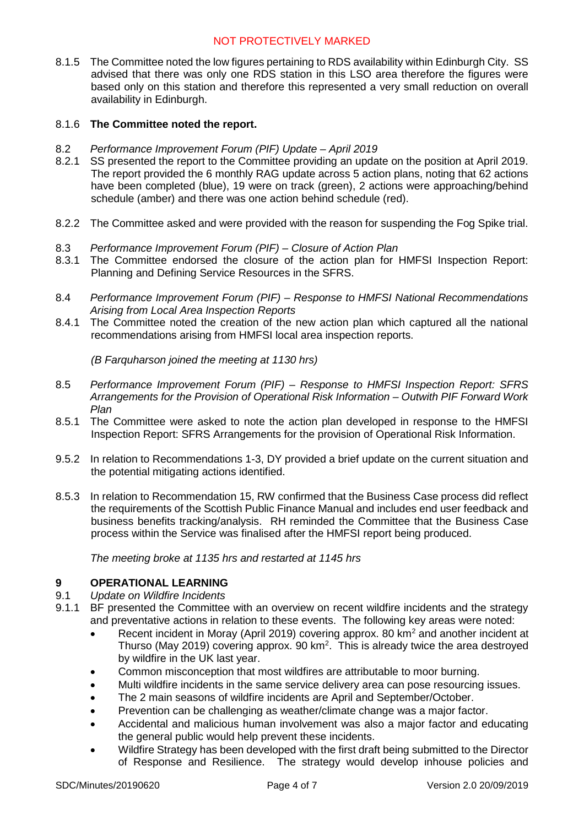8.1.5 The Committee noted the low figures pertaining to RDS availability within Edinburgh City. SS advised that there was only one RDS station in this LSO area therefore the figures were based only on this station and therefore this represented a very small reduction on overall availability in Edinburgh.

### 8.1.6 **The Committee noted the report.**

- 8.2 *Performance Improvement Forum (PIF) Update April 2019*
- 8.2.1 SS presented the report to the Committee providing an update on the position at April 2019. The report provided the 6 monthly RAG update across 5 action plans, noting that 62 actions have been completed (blue), 19 were on track (green), 2 actions were approaching/behind schedule (amber) and there was one action behind schedule (red).
- 8.2.2 The Committee asked and were provided with the reason for suspending the Fog Spike trial.
- 8.3 *Performance Improvement Forum (PIF) Closure of Action Plan*
- 8.3.1 The Committee endorsed the closure of the action plan for HMFSI Inspection Report: Planning and Defining Service Resources in the SFRS.
- 8.4 *Performance Improvement Forum (PIF) Response to HMFSI National Recommendations Arising from Local Area Inspection Reports*
- 8.4.1 The Committee noted the creation of the new action plan which captured all the national recommendations arising from HMFSI local area inspection reports.

*(B Farquharson joined the meeting at 1130 hrs)*

- 8.5 *Performance Improvement Forum (PIF) Response to HMFSI Inspection Report: SFRS Arrangements for the Provision of Operational Risk Information – Outwith PIF Forward Work Plan*
- 8.5.1 The Committee were asked to note the action plan developed in response to the HMFSI Inspection Report: SFRS Arrangements for the provision of Operational Risk Information.
- 9.5.2 In relation to Recommendations 1-3, DY provided a brief update on the current situation and the potential mitigating actions identified.
- 8.5.3 In relation to Recommendation 15, RW confirmed that the Business Case process did reflect the requirements of the Scottish Public Finance Manual and includes end user feedback and business benefits tracking/analysis. RH reminded the Committee that the Business Case process within the Service was finalised after the HMFSI report being produced.

*The meeting broke at 1135 hrs and restarted at 1145 hrs*

#### **9 OPERATIONAL LEARNING**

#### 9.1 *Update on Wildfire Incidents*

- 9.1.1 BF presented the Committee with an overview on recent wildfire incidents and the strategy and preventative actions in relation to these events. The following key areas were noted:
	- Recent incident in Moray (April 2019) covering approx. 80 km<sup>2</sup> and another incident at Thurso (May 2019) covering approx. 90  $km^2$ . This is already twice the area destroyed by wildfire in the UK last year.
	- Common misconception that most wildfires are attributable to moor burning.
	- Multi wildfire incidents in the same service delivery area can pose resourcing issues.
	- The 2 main seasons of wildfire incidents are April and September/October.
	- Prevention can be challenging as weather/climate change was a major factor.
	- Accidental and malicious human involvement was also a major factor and educating the general public would help prevent these incidents.
	- Wildfire Strategy has been developed with the first draft being submitted to the Director of Response and Resilience. The strategy would develop inhouse policies and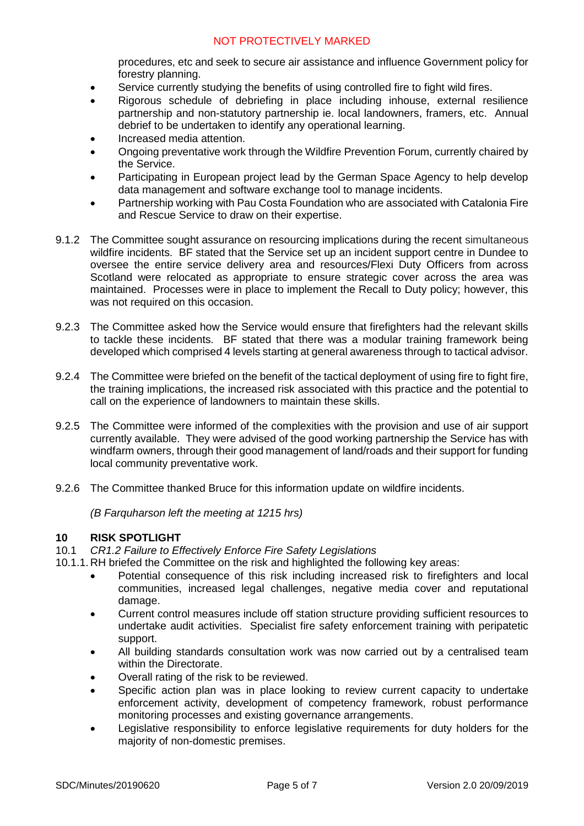procedures, etc and seek to secure air assistance and influence Government policy for forestry planning.

- Service currently studying the benefits of using controlled fire to fight wild fires.
- Rigorous schedule of debriefing in place including inhouse, external resilience partnership and non-statutory partnership ie. local landowners, framers, etc. Annual debrief to be undertaken to identify any operational learning.
- Increased media attention.
- Ongoing preventative work through the Wildfire Prevention Forum, currently chaired by the Service.
- Participating in European project lead by the German Space Agency to help develop data management and software exchange tool to manage incidents.
- Partnership working with Pau Costa Foundation who are associated with Catalonia Fire and Rescue Service to draw on their expertise.
- 9.1.2 The Committee sought assurance on resourcing implications during the recent simultaneous wildfire incidents. BF stated that the Service set up an incident support centre in Dundee to oversee the entire service delivery area and resources/Flexi Duty Officers from across Scotland were relocated as appropriate to ensure strategic cover across the area was maintained. Processes were in place to implement the Recall to Duty policy; however, this was not required on this occasion.
- 9.2.3 The Committee asked how the Service would ensure that firefighters had the relevant skills to tackle these incidents. BF stated that there was a modular training framework being developed which comprised 4 levels starting at general awareness through to tactical advisor.
- 9.2.4 The Committee were briefed on the benefit of the tactical deployment of using fire to fight fire, the training implications, the increased risk associated with this practice and the potential to call on the experience of landowners to maintain these skills.
- 9.2.5 The Committee were informed of the complexities with the provision and use of air support currently available. They were advised of the good working partnership the Service has with windfarm owners, through their good management of land/roads and their support for funding local community preventative work.
- 9.2.6 The Committee thanked Bruce for this information update on wildfire incidents.

*(B Farquharson left the meeting at 1215 hrs)*

#### **10 RISK SPOTLIGHT**

10.1 *CR1.2 Failure to Effectively Enforce Fire Safety Legislations*

- 10.1.1. RH briefed the Committee on the risk and highlighted the following key areas:
	- Potential consequence of this risk including increased risk to firefighters and local communities, increased legal challenges, negative media cover and reputational damage.
	- Current control measures include off station structure providing sufficient resources to undertake audit activities. Specialist fire safety enforcement training with peripatetic support.
	- All building standards consultation work was now carried out by a centralised team within the Directorate.
	- Overall rating of the risk to be reviewed.
	- Specific action plan was in place looking to review current capacity to undertake enforcement activity, development of competency framework, robust performance monitoring processes and existing governance arrangements.
	- Legislative responsibility to enforce legislative requirements for duty holders for the majority of non-domestic premises.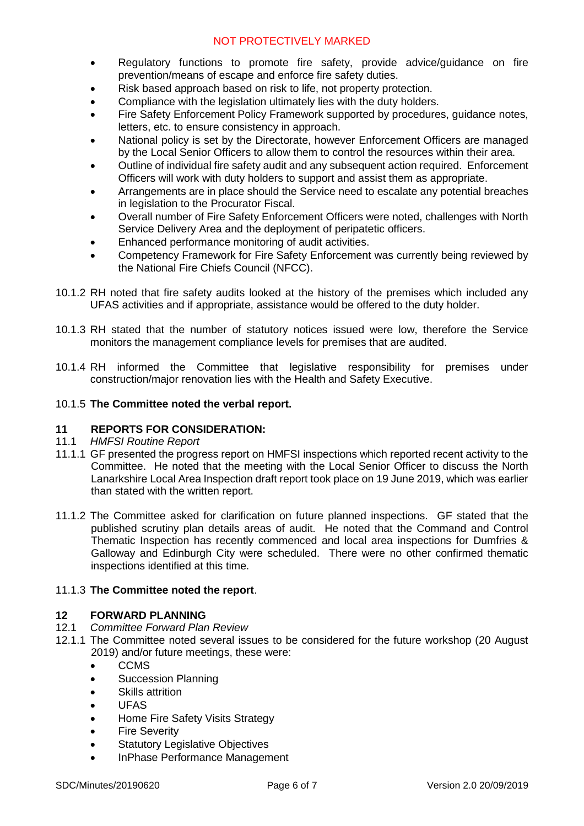- Regulatory functions to promote fire safety, provide advice/guidance on fire prevention/means of escape and enforce fire safety duties.
- Risk based approach based on risk to life, not property protection.
- Compliance with the legislation ultimately lies with the duty holders.
- Fire Safety Enforcement Policy Framework supported by procedures, guidance notes, letters, etc. to ensure consistency in approach.
- National policy is set by the Directorate, however Enforcement Officers are managed by the Local Senior Officers to allow them to control the resources within their area.
- Outline of individual fire safety audit and any subsequent action required. Enforcement Officers will work with duty holders to support and assist them as appropriate.
- Arrangements are in place should the Service need to escalate any potential breaches in legislation to the Procurator Fiscal.
- Overall number of Fire Safety Enforcement Officers were noted, challenges with North Service Delivery Area and the deployment of peripatetic officers.
- Enhanced performance monitoring of audit activities.
- Competency Framework for Fire Safety Enforcement was currently being reviewed by the National Fire Chiefs Council (NFCC).
- 10.1.2 RH noted that fire safety audits looked at the history of the premises which included any UFAS activities and if appropriate, assistance would be offered to the duty holder.
- 10.1.3 RH stated that the number of statutory notices issued were low, therefore the Service monitors the management compliance levels for premises that are audited.
- 10.1.4 RH informed the Committee that legislative responsibility for premises under construction/major renovation lies with the Health and Safety Executive.

## 10.1.5 **The Committee noted the verbal report.**

## **11 REPORTS FOR CONSIDERATION:**

- 11.1 *HMFSI Routine Report*
- 11.1.1 GF presented the progress report on HMFSI inspections which reported recent activity to the Committee. He noted that the meeting with the Local Senior Officer to discuss the North Lanarkshire Local Area Inspection draft report took place on 19 June 2019, which was earlier than stated with the written report.
- 11.1.2 The Committee asked for clarification on future planned inspections. GF stated that the published scrutiny plan details areas of audit. He noted that the Command and Control Thematic Inspection has recently commenced and local area inspections for Dumfries & Galloway and Edinburgh City were scheduled. There were no other confirmed thematic inspections identified at this time.

## 11.1.3 **The Committee noted the report**.

# **12 FORWARD PLANNING**<br>12.1 Committee Forward Plan

- 12.1 *Committee Forward Plan Review*
- 12.1.1 The Committee noted several issues to be considered for the future workshop (20 August 2019) and/or future meetings, these were:
	- **CCMS**
	- Succession Planning
	- Skills attrition
	- UFAS
	- Home Fire Safety Visits Strategy
	- Fire Severity
	- Statutory Legislative Objectives
	- InPhase Performance Management